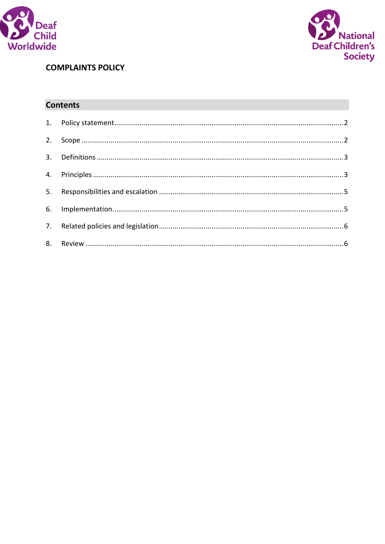



# **COMPLAINTS POLICY**

# **Contents**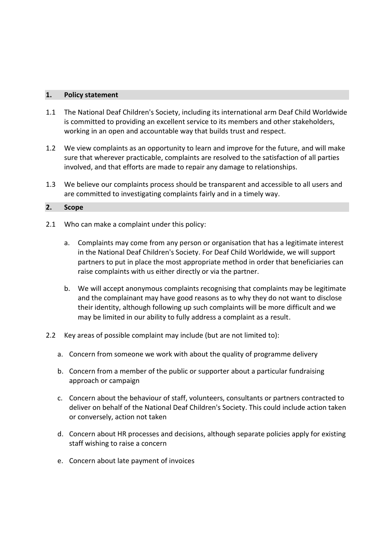#### <span id="page-1-0"></span>**1. Policy statement**

- 1.1 The National Deaf Children's Society, including its international arm Deaf Child Worldwide is committed to providing an excellent service to its members and other stakeholders, working in an open and accountable way that builds trust and respect.
- 1.2 We view complaints as an opportunity to learn and improve for the future, and will make sure that wherever practicable, complaints are resolved to the satisfaction of all parties involved, and that efforts are made to repair any damage to relationships.
- 1.3 We believe our complaints process should be transparent and accessible to all users and are committed to investigating complaints fairly and in a timely way.

#### <span id="page-1-1"></span>**2. Scope**

- 2.1 Who can make a complaint under this policy:
	- a. Complaints may come from any person or organisation that has a legitimate interest in the National Deaf Children's Society. For Deaf Child Worldwide, we will support partners to put in place the most appropriate method in order that beneficiaries can raise complaints with us either directly or via the partner.
	- b. We will accept anonymous complaints recognising that complaints may be legitimate and the complainant may have good reasons as to why they do not want to disclose their identity, although following up such complaints will be more difficult and we may be limited in our ability to fully address a complaint as a result.
- 2.2 Key areas of possible complaint may include (but are not limited to):
	- a. Concern from someone we work with about the quality of programme delivery
	- b. Concern from a member of the public or supporter about a particular fundraising approach or campaign
	- c. Concern about the behaviour of staff, volunteers, consultants or partners contracted to deliver on behalf of the National Deaf Children's Society. This could include action taken or conversely, action not taken
	- d. Concern about HR processes and decisions, although separate policies apply for existing staff wishing to raise a concern
	- e. Concern about late payment of invoices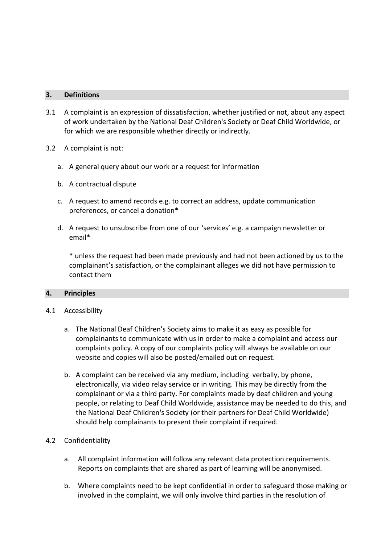#### <span id="page-2-0"></span>**3. Definitions**

- 3.1 A complaint is an expression of dissatisfaction, whether justified or not, about any aspect of work undertaken by the National Deaf Children's Society or Deaf Child Worldwide, or for which we are responsible whether directly or indirectly.
- 3.2 A complaint is not:
	- a. A general query about our work or a request for information
	- b. A contractual dispute
	- c. A request to amend records e.g. to correct an address, update communication preferences, or cancel a donation\*
	- d. A request to unsubscribe from one of our 'services' e.g. a campaign newsletter or email\*

\* unless the request had been made previously and had not been actioned by us to the complainant's satisfaction, or the complainant alleges we did not have permission to contact them

# <span id="page-2-1"></span>**4. Principles**

# 4.1 Accessibility

- a. The National Deaf Children's Society aims to make it as easy as possible for complainants to communicate with us in order to make a complaint and access our complaints policy. A copy of our complaints policy will always be available on our website and copies will also be posted/emailed out on request.
- b. A complaint can be received via any medium, including verbally, by phone, electronically, via video relay service or in writing. This may be directly from the complainant or via a third party. For complaints made by deaf children and young people, or relating to Deaf Child Worldwide, assistance may be needed to do this, and the National Deaf Children's Society (or their partners for Deaf Child Worldwide) should help complainants to present their complaint if required.

# 4.2 Confidentiality

- a. All complaint information will follow any relevant data protection requirements. Reports on complaints that are shared as part of learning will be anonymised.
- b. Where complaints need to be kept confidential in order to safeguard those making or involved in the complaint, we will only involve third parties in the resolution of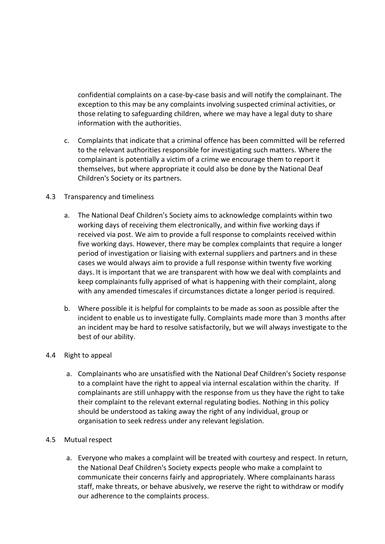confidential complaints on a case-by-case basis and will notify the complainant. The exception to this may be any complaints involving suspected criminal activities, or those relating to safeguarding children, where we may have a legal duty to share information with the authorities.

c. Complaints that indicate that a criminal offence has been committed will be referred to the relevant authorities responsible for investigating such matters. Where the complainant is potentially a victim of a crime we encourage them to report it themselves, but where appropriate it could also be done by the National Deaf Children's Society or its partners.

# 4.3 Transparency and timeliness

- a. The National Deaf Children's Society aims to acknowledge complaints within two working days of receiving them electronically, and within five working days if received via post. We aim to provide a full response to complaints received within five working days. However, there may be complex complaints that require a longer period of investigation or liaising with external suppliers and partners and in these cases we would always aim to provide a full response within twenty five working days. It is important that we are transparent with how we deal with complaints and keep complainants fully apprised of what is happening with their complaint, along with any amended timescales if circumstances dictate a longer period is required.
- b. Where possible it is helpful for complaints to be made as soon as possible after the incident to enable us to investigate fully. Complaints made more than 3 months after an incident may be hard to resolve satisfactorily, but we will always investigate to the best of our ability.

# 4.4 Right to appeal

a. Complainants who are unsatisfied with the National Deaf Children's Society response to a complaint have the right to appeal via internal escalation within the charity. If complainants are still unhappy with the response from us they have the right to take their complaint to the relevant external regulating bodies. Nothing in this policy should be understood as taking away the right of any individual, group or organisation to seek redress under any relevant legislation.

# 4.5 Mutual respect

a. Everyone who makes a complaint will be treated with courtesy and respect. In return, the National Deaf Children's Society expects people who make a complaint to communicate their concerns fairly and appropriately. Where complainants harass staff, make threats, or behave abusively, we reserve the right to withdraw or modify our adherence to the complaints process.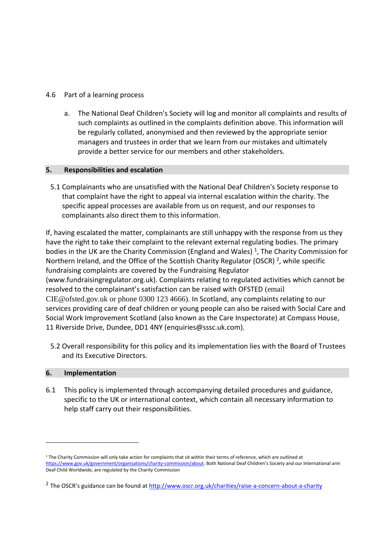# 4.6 Part of a learning process

a. The National Deaf Children's Society will log and monitor all complaints and results of such complaints as outlined in the complaints definition above. This information will be regularly collated, anonymised and then reviewed by the appropriate senior managers and trustees in order that we learn from our mistakes and ultimately provide a better service for our members and other stakeholders.

# <span id="page-4-0"></span>**5. Responsibilities and escalation**

5.1 Complainants who are unsatisfied with the National Deaf Children's Society response to that complaint have the right to appeal via internal escalation within the charity. The specific appeal processes are available from us on request, and our responses to complainants also direct them to this information.

If, having escalated the matter, complainants are still unhappy with the response from us they have the right to take their complaint to the relevant external regulating bodies. The primary bodies in the UK are the Charity Commission (England and Wales)<sup>1</sup>, The Charity Commission for Northern Ireland, and the Office of the Scottish Charity Regulator (OSCR)<sup>2</sup>, while specific fundraising complaints are covered by the Fundraising Regulator (www.fundraisingregulator.org.uk). Complaints relating to regulated activities which cannot be resolved to the complainant's satisfaction can be raised with OFSTED (email CIE@ofsted.gov.uk or phone 0300 123 4666). In Scotland, any complaints relating to our services providing care of deaf children or young people can also be raised with Social Care and Social Work Improvement Scotland (also known as the Care Inspectorate) at Compass House, 11 Riverside Drive, Dundee, DD1 4NY [\(enquiries@sssc.uk.com\)](mailto:enquiries@sssc.uk.com).

5.2 Overall responsibility for this policy and its implementation lies with the Board of Trustees and its Executive Directors.

# <span id="page-4-1"></span>**6. Implementation**

 $\overline{a}$ 

6.1 This policy is implemented through accompanying detailed procedures and guidance, specific to the UK or international context, which contain all necessary information to help staff carry out their responsibilities.

 $1$  The Charity Commission will only take action for complaints that sit within their terms of reference, which are outlined at [https://www.gov.uk/government/organisations/charity-commission/about.](https://www.gov.uk/government/organisations/charity-commission/about) Both National Deaf Children's Society and our International arm Deaf Child Worldwide, are regulated by the Charity Commission

<sup>&</sup>lt;sup>2</sup> The OSCR's guidance can be found a[t http://www.oscr.org.uk/charities/raise-a-concern-about-a-charity](http://www.oscr.org.uk/charities/raise-a-concern-about-a-charity)